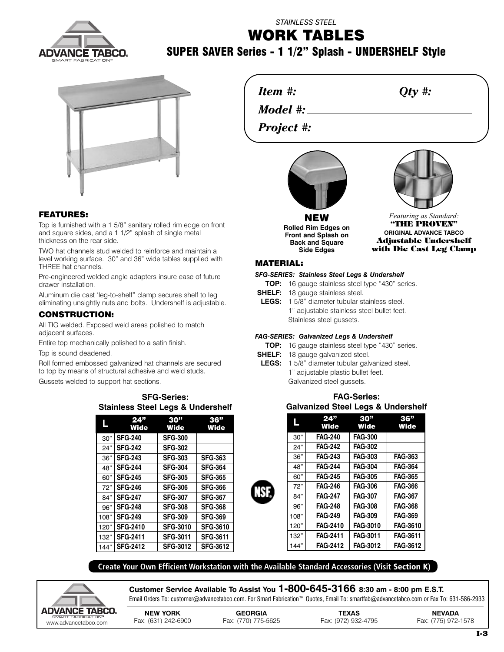

## *STAINLESS STEEL* **WORK TABLES**

## **SUPER SAVER Series - 1 1/2" Splash - UNDERSHELF Style**



## **FEATURES:**

Top is furnished with a 1 5/8" sanitary rolled rim edge on front and square sides, and a 1 1/2" splash of single metal thickness on the rear side.

TWO hat channels stud welded to reinforce and maintain a level working surface. 30" and 36" wide tables supplied with THREE hat channels.

Pre-engineered welded angle adapters insure ease of future drawer installation.

Aluminum die cast 'leg-to-shelf" clamp secures shelf to leg eliminating unsightly nuts and bolts. Undershelf is adjustable.

### **CONSTRUCTION:**

All TIG welded. Exposed weld areas polished to match adjacent surfaces.

Entire top mechanically polished to a satin finish.

Top is sound deadened.

Roll formed embossed galvanized hat channels are secured to top by means of structural adhesive and weld studs.

Gussets welded to support hat sections.

### **SFG-Series: Stainless Steel Legs & Undershelf**

|      | 24"<br><b>Wide</b> | 30 <sup>"</sup><br>Wide | 36"<br><b>Wide</b> |
|------|--------------------|-------------------------|--------------------|
| 30"  | <b>SFG-240</b>     | <b>SFG-300</b>          |                    |
| 24"  | <b>SFG-242</b>     | <b>SFG-302</b>          |                    |
| 36"  | <b>SFG-243</b>     | <b>SFG-303</b>          | <b>SFG-363</b>     |
| 48"  | <b>SFG-244</b>     | <b>SFG-304</b>          | <b>SFG-364</b>     |
| 60"  | <b>SFG-245</b>     | <b>SFG-305</b>          | <b>SFG-365</b>     |
| 72"  | <b>SFG-246</b>     | <b>SFG-306</b>          | <b>SFG-366</b>     |
| 84"  | <b>SFG-247</b>     | <b>SFG-307</b>          | <b>SFG-367</b>     |
| 96"  | <b>SFG-248</b>     | <b>SFG-308</b>          | <b>SFG-368</b>     |
| 108" | <b>SFG-249</b>     | <b>SFG-309</b>          | <b>SFG-369</b>     |
| 120" | <b>SFG-2410</b>    | <b>SFG-3010</b>         | <b>SFG-3610</b>    |
| 132" | <b>SFG-2411</b>    | <b>SFG-3011</b>         | <b>SFG-3611</b>    |
| 144" | <b>SFG-2412</b>    | <b>SFG-3012</b>         | <b>SFG-3612</b>    |

*Item #: Qty #:*

*Model #:*

*Project #:*



**NEW Rolled Rim Edges on Front and Splash on Back and Square Side Edges**



*Featuring as Standard:* **"THE PROVEN" ORIGINAL ADVANCE TABCO Adjustable Undershelf with Die Cast Leg Clamp**

## **MATERIAL:**

## *SFG-SERIES: Stainless Steel Legs & Undershelf*

- **TOP:** 16 gauge stainless steel type "430" series.
- **SHELF:** 18 gauge stainless steel.
- **LEGS:** 1 5/8" diameter tubular stainless steel. 1" adjustable stainless steel bullet feet. Stainless steel gussets.

#### *FAG-SERIES: Galvanized Legs & Undershelf*

- **TOP:** 16 gauge stainless steel type "430" series.
- **SHELF:** 18 gauge galvanized steel.
- **LEGS:** 1 5/8" diameter tubular galvanized steel. 1" adjustable plastic bullet feet. Galvanized steel gussets.

## **FAG-Series: Galvanized Steel Legs & Undershelf**

|      | 24"<br><b>Wide</b> | 30"<br><b>Wide</b> | 36"<br><b>Wide</b> |
|------|--------------------|--------------------|--------------------|
| 30"  | <b>FAG-240</b>     | <b>FAG-300</b>     |                    |
| 24"  | <b>FAG-242</b>     | <b>FAG-302</b>     |                    |
| 36"  | <b>FAG-243</b>     | <b>FAG-303</b>     | <b>FAG-363</b>     |
| 48"  | <b>FAG-244</b>     | <b>FAG-304</b>     | <b>FAG-364</b>     |
| 60"  | <b>FAG-245</b>     | <b>FAG-305</b>     | <b>FAG-365</b>     |
| 72"  | <b>FAG-246</b>     | <b>FAG-306</b>     | <b>FAG-366</b>     |
| 84"  | <b>FAG-247</b>     | <b>FAG-307</b>     | <b>FAG-367</b>     |
| 96"  | <b>FAG-248</b>     | <b>FAG-308</b>     | <b>FAG-368</b>     |
| 108" | <b>FAG-249</b>     | <b>FAG-309</b>     | <b>FAG-369</b>     |
| 120" | <b>FAG-2410</b>    | <b>FAG-3010</b>    | <b>FAG-3610</b>    |
| 132" | <b>FAG-2411</b>    | <b>FAG-3011</b>    | <b>FAG-3611</b>    |
| 144" | <b>FAG-2412</b>    | <b>FAG-3012</b>    | <b>FAG-3612</b>    |

**Create Your Own Efficient Workstation with the Available Standard Accessories (Visit Section K)**



**Customer Service Available To Assist You 1-800-645-3166 8:30 am - 8:00 pm E.S.T.** Email Orders To: customer@advancetabco.com. For Smart Fabrication™ Quotes, Email To: smartfab@advancetabco.com or Fax To: 631-586-2933

| <b>DVANCE TABCO.</b>                       | <b>NEW YORK</b>     | <b>GEORGIA</b>      | <b>TEXAS</b>        | <b>NEVADA</b>       |
|--------------------------------------------|---------------------|---------------------|---------------------|---------------------|
| SMART FABRICATION®<br>www.advancetabco.com | Fax: (631) 242-6900 | Fax: (770) 775-5625 | Fax: (972) 932-4795 | Fax: (775) 972-1578 |